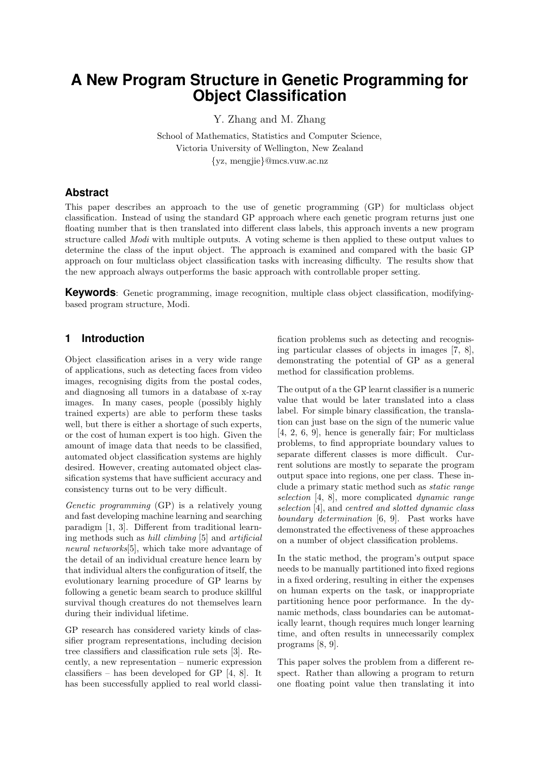# **A New Program Structure in Genetic Programming for Object Classification**

Y. Zhang and M. Zhang

School of Mathematics, Statistics and Computer Science, Victoria University of Wellington, New Zealand {yz, mengjie}@mcs.vuw.ac.nz

# **Abstract**

This paper describes an approach to the use of genetic programming (GP) for multiclass object classification. Instead of using the standard GP approach where each genetic program returns just one floating number that is then translated into different class labels, this approach invents a new program structure called Modi with multiple outputs. A voting scheme is then applied to these output values to determine the class of the input object. The approach is examined and compared with the basic GP approach on four multiclass object classification tasks with increasing difficulty. The results show that the new approach always outperforms the basic approach with controllable proper setting.

**Keywords**: Genetic programming, image recognition, multiple class object classification, modifyingbased program structure, Modi.

# **1 Introduction**

Object classification arises in a very wide range of applications, such as detecting faces from video images, recognising digits from the postal codes, and diagnosing all tumors in a database of x-ray images. In many cases, people (possibly highly trained experts) are able to perform these tasks well, but there is either a shortage of such experts, or the cost of human expert is too high. Given the amount of image data that needs to be classified, automated object classification systems are highly desired. However, creating automated object classification systems that have sufficient accuracy and consistency turns out to be very difficult.

Genetic programming (GP) is a relatively young and fast developing machine learning and searching paradigm [1, 3]. Different from traditional learning methods such as hill climbing [5] and artificial neural networks[5], which take more advantage of the detail of an individual creature hence learn by that individual alters the configuration of itself, the evolutionary learning procedure of GP learns by following a genetic beam search to produce skillful survival though creatures do not themselves learn during their individual lifetime.

GP research has considered variety kinds of classifier program representations, including decision tree classifiers and classification rule sets [3]. Recently, a new representation – numeric expression classifiers – has been developed for GP [4, 8]. It has been successfully applied to real world classification problems such as detecting and recognising particular classes of objects in images [7, 8], demonstrating the potential of GP as a general method for classification problems.

The output of a the GP learnt classifier is a numeric value that would be later translated into a class label. For simple binary classification, the translation can just base on the sign of the numeric value [4, 2, 6, 9], hence is generally fair; For multiclass problems, to find appropriate boundary values to separate different classes is more difficult. Current solutions are mostly to separate the program output space into regions, one per class. These include a primary static method such as static range selection [4, 8], more complicated dynamic range selection [4], and centred and slotted dynamic class boundary determination [6, 9]. Past works have demonstrated the effectiveness of these approaches on a number of object classification problems.

In the static method, the program's output space needs to be manually partitioned into fixed regions in a fixed ordering, resulting in either the expenses on human experts on the task, or inappropriate partitioning hence poor performance. In the dynamic methods, class boundaries can be automatically learnt, though requires much longer learning time, and often results in unnecessarily complex programs [8, 9].

This paper solves the problem from a different respect. Rather than allowing a program to return one floating point value then translating it into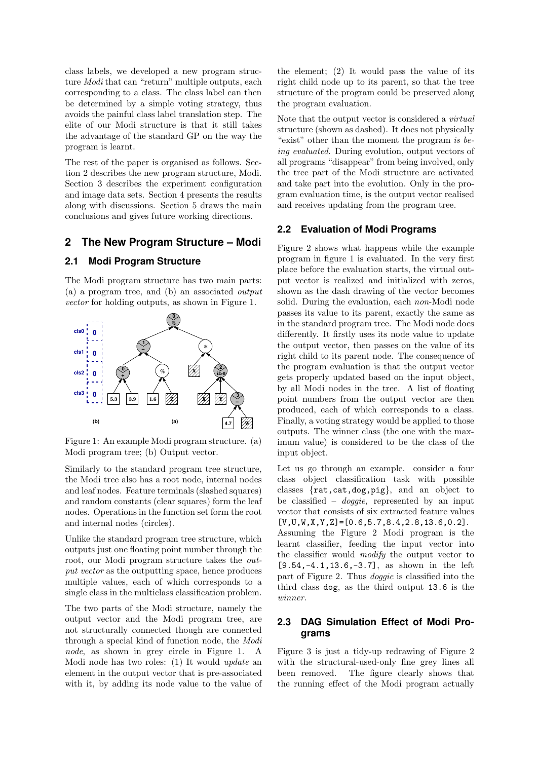class labels, we developed a new program structure Modi that can "return" multiple outputs, each corresponding to a class. The class label can then be determined by a simple voting strategy, thus avoids the painful class label translation step. The elite of our Modi structure is that it still takes the advantage of the standard GP on the way the program is learnt.

The rest of the paper is organised as follows. Section 2 describes the new program structure, Modi. Section 3 describes the experiment configuration and image data sets. Section 4 presents the results along with discussions. Section 5 draws the main conclusions and gives future working directions.

# **2 The New Program Structure – Modi**

### **2.1 Modi Program Structure**

The Modi program structure has two main parts: (a) a program tree, and (b) an associated output vector for holding outputs, as shown in Figure 1.



Figure 1: An example Modi program structure. (a) Modi program tree; (b) Output vector.

Similarly to the standard program tree structure, the Modi tree also has a root node, internal nodes and leaf nodes. Feature terminals (slashed squares) and random constants (clear squares) form the leaf nodes. Operations in the function set form the root and internal nodes (circles).

Unlike the standard program tree structure, which outputs just one floating point number through the root, our Modi program structure takes the output vector as the outputting space, hence produces multiple values, each of which corresponds to a single class in the multiclass classification problem.

The two parts of the Modi structure, namely the output vector and the Modi program tree, are not structurally connected though are connected through a special kind of function node, the Modi node, as shown in grey circle in Figure 1. A Modi node has two roles: (1) It would update an element in the output vector that is pre-associated with it, by adding its node value to the value of the element; (2) It would pass the value of its right child node up to its parent, so that the tree structure of the program could be preserved along the program evaluation.

Note that the output vector is considered a virtual structure (shown as dashed). It does not physically "exist" other than the moment the program is being evaluated. During evolution, output vectors of all programs "disappear" from being involved, only the tree part of the Modi structure are activated and take part into the evolution. Only in the program evaluation time, is the output vector realised and receives updating from the program tree.

### **2.2 Evaluation of Modi Programs**

**Finally, a voting strategy would be applied to those**  point numbers from the output vector are then Figure 2 shows what happens while the example program in figure 1 is evaluated. In the very first place before the evaluation starts, the virtual output vector is realized and initialized with zeros, shown as the dash drawing of the vector becomes solid. During the evaluation, each non-Modi node passes its value to its parent, exactly the same as in the standard program tree. The Modi node does differently. It firstly uses its node value to update the output vector, then passes on the value of its right child to its parent node. The consequence of the program evaluation is that the output vector gets properly updated based on the input object, by all Modi nodes in the tree. A list of floating produced, each of which corresponds to a class. outputs. The winner class (the one with the maximum value) is considered to be the class of the input object.

> Let us go through an example. consider a four class object classification task with possible classes {rat,cat,dog,pig}, and an object to be classified – *doggie*, represented by an input vector that consists of six extracted feature values  $[V,U,W,X,Y,Z] = [0.6,5.7,8.4,2.8,13.6,0.2].$ Assuming the Figure 2 Modi program is the learnt classifier, feeding the input vector into the classifier would modify the output vector to [9.54,-4.1,13.6,-3.7], as shown in the left part of Figure 2. Thus doggie is classified into the third class dog, as the third output 13.6 is the winner.

### **2.3 DAG Simulation Effect of Modi Programs**

Figure 3 is just a tidy-up redrawing of Figure 2 with the structural-used-only fine grey lines all been removed. The figure clearly shows that the running effect of the Modi program actually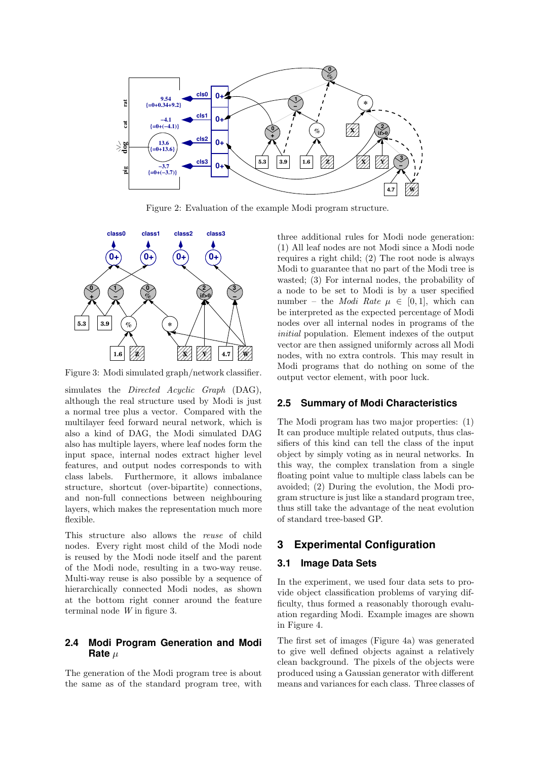

Figure 2: Evaluation of the example Modi program structure.



Figure 3: Modi simulated graph/network classifier.

simulates the *Directed Acyclic Graph* (DAG), although the real structure used by Modi is just a normal tree plus a vector. Compared with the multilayer feed forward neural network, which is also a kind of DAG, the Modi simulated DAG also has multiple layers, where leaf nodes form the input space, internal nodes extract higher level features, and output nodes corresponds to with class labels. Furthermore, it allows imbalance structure, shortcut (over-bipartite) connections, and non-full connections between neighbouring layers, which makes the representation much more flexible.

This structure also allows the reuse of child nodes. Every right most child of the Modi node is reused by the Modi node itself and the parent of the Modi node, resulting in a two-way reuse. Multi-way reuse is also possible by a sequence of hierarchically connected Modi nodes, as shown at the bottom right conner around the feature terminal node W in figure 3.

### **2.4 Modi Program Generation and Modi Rate** µ

The generation of the Modi program tree is about the same as of the standard program tree, with

nodes, with no extra controls. This may result in <u>in the community of the community of the community of the community of the community of the community of the community of the community of the community of the community of the community of the community of the community </u> three additional rules for Modi node generation: (1) All leaf nodes are not Modi since a Modi node requires a right child; (2) The root node is always Modi to guarantee that no part of the Modi tree is wasted; (3) For internal nodes, the probability of a node to be set to Modi is by a user specified number – the *Modi Rate*  $\mu \in [0, 1]$ , which can be interpreted as the expected percentage of Modi nodes over all internal nodes in programs of the initial population. Element indexes of the output vector are then assigned uniformly across all Modi Modi programs that do nothing on some of the output vector element, with poor luck.

### **2.5 Summary of Modi Characteristics**

The Modi program has two major properties: (1) It can produce multiple related outputs, thus classifiers of this kind can tell the class of the input object by simply voting as in neural networks. In this way, the complex translation from a single floating point value to multiple class labels can be avoided; (2) During the evolution, the Modi program structure is just like a standard program tree, thus still take the advantage of the neat evolution of standard tree-based GP.

# **3 Experimental Configuration**

### **3.1 Image Data Sets**

In the experiment, we used four data sets to provide object classification problems of varying difficulty, thus formed a reasonably thorough evaluation regarding Modi. Example images are shown in Figure 4.

The first set of images (Figure 4a) was generated to give well defined objects against a relatively clean background. The pixels of the objects were produced using a Gaussian generator with different means and variances for each class. Three classes of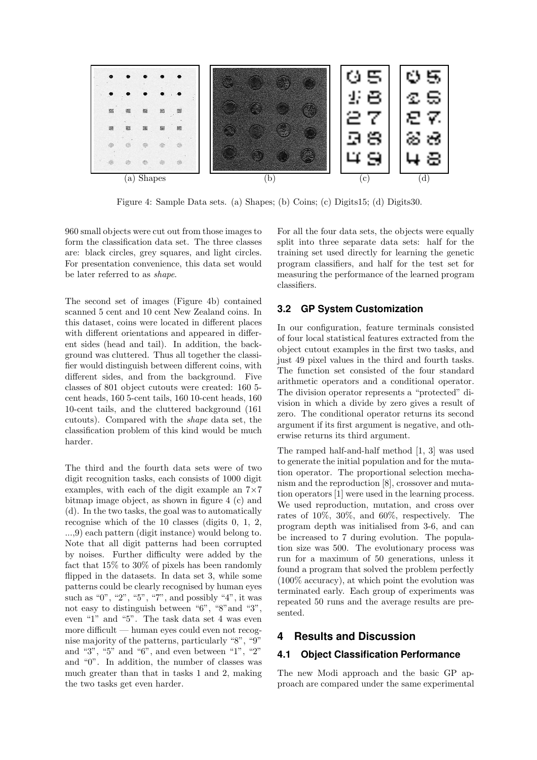

Figure 4: Sample Data sets. (a) Shapes; (b) Coins; (c) Digits15; (d) Digits30.

960 small objects were cut out from those images to form the classification data set. The three classes are: black circles, grey squares, and light circles. For presentation convenience, this data set would be later referred to as shape.

The second set of images (Figure 4b) contained scanned 5 cent and 10 cent New Zealand coins. In this dataset, coins were located in different places with different orientations and appeared in different sides (head and tail). In addition, the background was cluttered. Thus all together the classifier would distinguish between different coins, with different sides, and from the background. Five classes of 801 object cutouts were created: 160 5 cent heads, 160 5-cent tails, 160 10-cent heads, 160 10-cent tails, and the cluttered background (161 cutouts). Compared with the shape data set, the classification problem of this kind would be much harder.

The third and the fourth data sets were of two digit recognition tasks, each consists of 1000 digit examples, with each of the digit example an 7×7 bitmap image object, as shown in figure 4 (c) and (d). In the two tasks, the goal was to automatically recognise which of the 10 classes (digits 0, 1, 2, ...,9) each pattern (digit instance) would belong to. Note that all digit patterns had been corrupted by noises. Further difficulty were added by the fact that 15% to 30% of pixels has been randomly flipped in the datasets. In data set 3, while some patterns could be clearly recognised by human eyes such as "0", "2", "5", "7", and possibly "4", it was not easy to distinguish between "6", "8"and "3", even "1" and "5". The task data set 4 was even more difficult — human eyes could even not recognise majority of the patterns, particularly "8", "9" and "3", "5" and "6", and even between "1", "2" and "0". In addition, the number of classes was much greater than that in tasks 1 and 2, making the two tasks get even harder.

For all the four data sets, the objects were equally split into three separate data sets: half for the training set used directly for learning the genetic program classifiers, and half for the test set for measuring the performance of the learned program classifiers.

#### **3.2 GP System Customization**

In our configuration, feature terminals consisted of four local statistical features extracted from the object cutout examples in the first two tasks, and just 49 pixel values in the third and fourth tasks. The function set consisted of the four standard arithmetic operators and a conditional operator. The division operator represents a "protected" division in which a divide by zero gives a result of zero. The conditional operator returns its second argument if its first argument is negative, and otherwise returns its third argument.

The ramped half-and-half method [1, 3] was used to generate the initial population and for the mutation operator. The proportional selection mechanism and the reproduction [8], crossover and mutation operators [1] were used in the learning process. We used reproduction, mutation, and cross over rates of 10%, 30%, and 60%, respectively. The program depth was initialised from 3-6, and can be increased to 7 during evolution. The population size was 500. The evolutionary process was run for a maximum of 50 generations, unless it found a program that solved the problem perfectly (100% accuracy), at which point the evolution was terminated early. Each group of experiments was repeated 50 runs and the average results are presented.

# **4 Results and Discussion**

#### **4.1 Object Classification Performance**

The new Modi approach and the basic GP approach are compared under the same experimental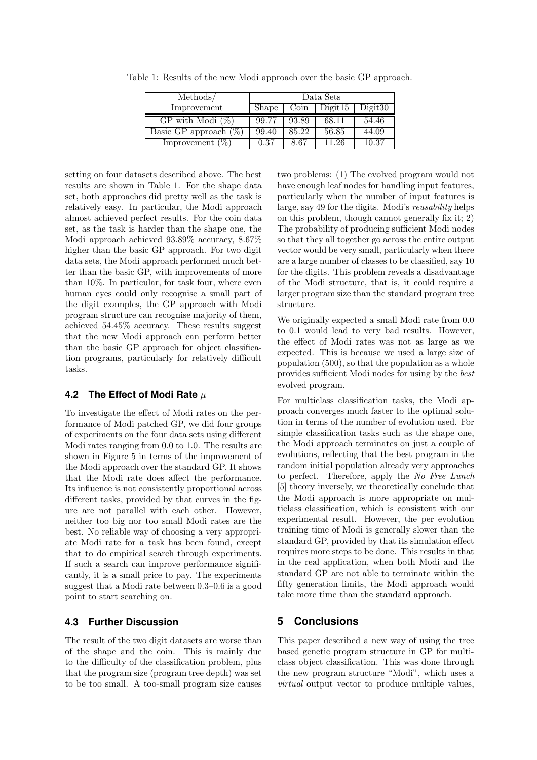| Methods/                         | Data Sets |                 |         |         |
|----------------------------------|-----------|-----------------|---------|---------|
| Improvement                      | Shape     | $\mathrm{Coin}$ | Digit15 | Digit30 |
| $\overline{GP}$ with Modi $(\%)$ | 99.77     | 93.89           | 68.11   | 54.46   |
| Basic GP approach $(\%)$         | 99.40     | 85.22           | 56.85   | 44.09   |
| Improvement (                    | 0.37      | 8.67            | 11.26   | 10.37   |

Table 1: Results of the new Modi approach over the basic GP approach.

setting on four datasets described above. The best results are shown in Table 1. For the shape data set, both approaches did pretty well as the task is relatively easy. In particular, the Modi approach almost achieved perfect results. For the coin data set, as the task is harder than the shape one, the Modi approach achieved 93.89% accuracy, 8.67% higher than the basic GP approach. For two digit data sets, the Modi approach performed much better than the basic GP, with improvements of more than 10%. In particular, for task four, where even human eyes could only recognise a small part of the digit examples, the GP approach with Modi program structure can recognise majority of them, achieved 54.45% accuracy. These results suggest that the new Modi approach can perform better than the basic GP approach for object classification programs, particularly for relatively difficult tasks.

# **4.2 The Effect of Modi Rate** µ

To investigate the effect of Modi rates on the performance of Modi patched GP, we did four groups of experiments on the four data sets using different Modi rates ranging from 0.0 to 1.0. The results are shown in Figure 5 in terms of the improvement of the Modi approach over the standard GP. It shows that the Modi rate does affect the performance. Its influence is not consistently proportional across different tasks, provided by that curves in the figure are not parallel with each other. However, neither too big nor too small Modi rates are the best. No reliable way of choosing a very appropriate Modi rate for a task has been found, except that to do empirical search through experiments. If such a search can improve performance significantly, it is a small price to pay. The experiments suggest that a Modi rate between 0.3–0.6 is a good point to start searching on.

# **4.3 Further Discussion**

The result of the two digit datasets are worse than of the shape and the coin. This is mainly due to the difficulty of the classification problem, plus that the program size (program tree depth) was set to be too small. A too-small program size causes two problems: (1) The evolved program would not have enough leaf nodes for handling input features, particularly when the number of input features is large, say 49 for the digits. Modi's reusability helps on this problem, though cannot generally fix it; 2) The probability of producing sufficient Modi nodes so that they all together go across the entire output vector would be very small, particularly when there are a large number of classes to be classified, say 10 for the digits. This problem reveals a disadvantage of the Modi structure, that is, it could require a larger program size than the standard program tree structure.

We originally expected a small Modi rate from 0.0 to 0.1 would lead to very bad results. However, the effect of Modi rates was not as large as we expected. This is because we used a large size of population (500), so that the population as a whole provides sufficient Modi nodes for using by the best evolved program.

For multiclass classification tasks, the Modi approach converges much faster to the optimal solution in terms of the number of evolution used. For simple classification tasks such as the shape one, the Modi approach terminates on just a couple of evolutions, reflecting that the best program in the random initial population already very approaches to perfect. Therefore, apply the No Free Lunch [5] theory inversely, we theoretically conclude that the Modi approach is more appropriate on multiclass classification, which is consistent with our experimental result. However, the per evolution training time of Modi is generally slower than the standard GP, provided by that its simulation effect requires more steps to be done. This results in that in the real application, when both Modi and the standard GP are not able to terminate within the fifty generation limits, the Modi approach would take more time than the standard approach.

# **5 Conclusions**

This paper described a new way of using the tree based genetic program structure in GP for multiclass object classification. This was done through the new program structure "Modi", which uses a virtual output vector to produce multiple values,